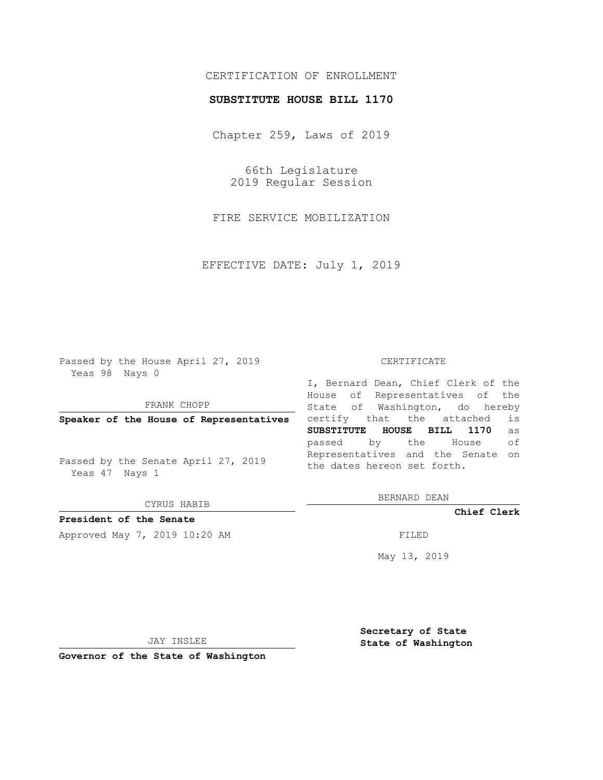## CERTIFICATION OF ENROLLMENT

### **SUBSTITUTE HOUSE BILL 1170**

Chapter 259, Laws of 2019

66th Legislature 2019 Regular Session

FIRE SERVICE MOBILIZATION

EFFECTIVE DATE: July 1, 2019

Passed by the House April 27, 2019 Yeas 98 Nays 0

FRANK CHOPP

**Speaker of the House of Representatives**

Passed by the Senate April 27, 2019 Yeas 47 Nays 1

CYRUS HABIB

# **President of the Senate**

Approved May 7, 2019 10:20 AM FILED

#### CERTIFICATE

I, Bernard Dean, Chief Clerk of the House of Representatives of the State of Washington, do hereby certify that the attached is **SUBSTITUTE HOUSE BILL 1170** as passed by the House of Representatives and the Senate on the dates hereon set forth.

BERNARD DEAN

**Chief Clerk**

May 13, 2019

JAY INSLEE

**Governor of the State of Washington**

**Secretary of State State of Washington**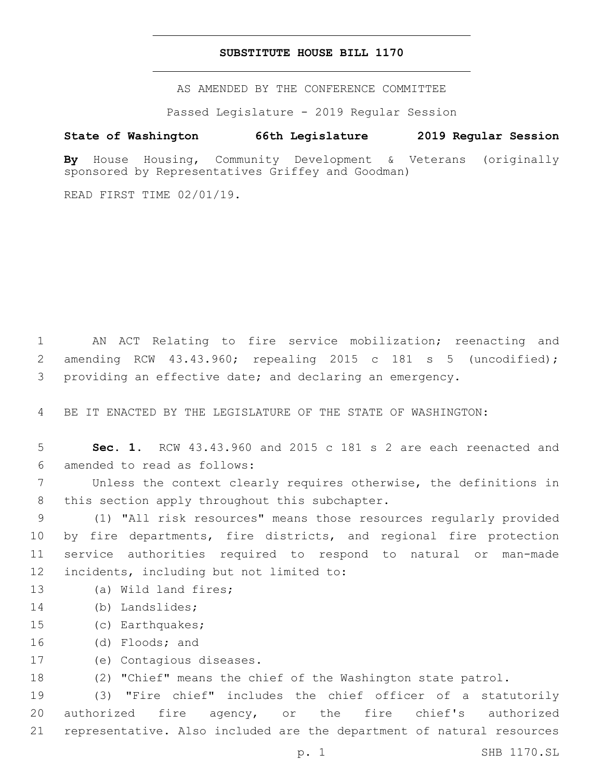### **SUBSTITUTE HOUSE BILL 1170**

AS AMENDED BY THE CONFERENCE COMMITTEE

Passed Legislature - 2019 Regular Session

# **State of Washington 66th Legislature 2019 Regular Session**

**By** House Housing, Community Development & Veterans (originally sponsored by Representatives Griffey and Goodman)

READ FIRST TIME 02/01/19.

1 AN ACT Relating to fire service mobilization; reenacting and 2 amending RCW 43.43.960; repealing 2015 c 181 s 5 (uncodified); 3 providing an effective date; and declaring an emergency.

4 BE IT ENACTED BY THE LEGISLATURE OF THE STATE OF WASHINGTON:

5 **Sec. 1.** RCW 43.43.960 and 2015 c 181 s 2 are each reenacted and 6 amended to read as follows:

7 Unless the context clearly requires otherwise, the definitions in 8 this section apply throughout this subchapter.

9 (1) "All risk resources" means those resources regularly provided 10 by fire departments, fire districts, and regional fire protection 11 service authorities required to respond to natural or man-made 12 incidents, including but not limited to:

- 13 (a) Wild land fires;
- 14 (b) Landslides;
- 15 (c) Earthquakes;
- 16 (d) Floods; and
- 17 (e) Contagious diseases.

18 (2) "Chief" means the chief of the Washington state patrol.

19 (3) "Fire chief" includes the chief officer of a statutorily 20 authorized fire agency, or the fire chief's authorized 21 representative. Also included are the department of natural resources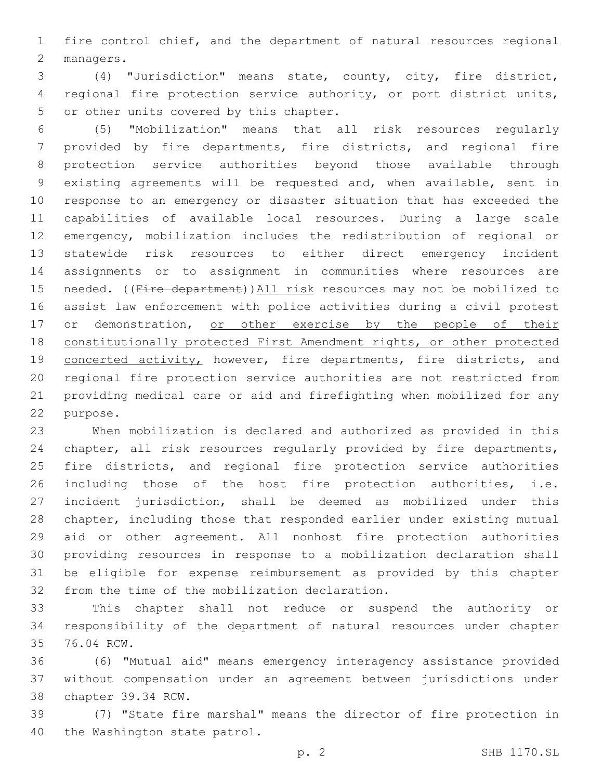fire control chief, and the department of natural resources regional 2 managers.

 (4) "Jurisdiction" means state, county, city, fire district, regional fire protection service authority, or port district units, 5 or other units covered by this chapter.

 (5) "Mobilization" means that all risk resources regularly provided by fire departments, fire districts, and regional fire protection service authorities beyond those available through existing agreements will be requested and, when available, sent in response to an emergency or disaster situation that has exceeded the capabilities of available local resources. During a large scale emergency, mobilization includes the redistribution of regional or statewide risk resources to either direct emergency incident assignments or to assignment in communities where resources are 15 needed. ((Fire department)) All risk resources may not be mobilized to assist law enforcement with police activities during a civil protest 17 or demonstration, or other exercise by the people of their constitutionally protected First Amendment rights, or other protected 19 concerted activity, however, fire departments, fire districts, and regional fire protection service authorities are not restricted from providing medical care or aid and firefighting when mobilized for any 22 purpose.

 When mobilization is declared and authorized as provided in this chapter, all risk resources regularly provided by fire departments, fire districts, and regional fire protection service authorities including those of the host fire protection authorities, i.e. incident jurisdiction, shall be deemed as mobilized under this chapter, including those that responded earlier under existing mutual aid or other agreement. All nonhost fire protection authorities providing resources in response to a mobilization declaration shall be eligible for expense reimbursement as provided by this chapter 32 from the time of the mobilization declaration.

 This chapter shall not reduce or suspend the authority or responsibility of the department of natural resources under chapter 35 76.04 RCW.

 (6) "Mutual aid" means emergency interagency assistance provided without compensation under an agreement between jurisdictions under 38 chapter 39.34 RCW.

 (7) "State fire marshal" means the director of fire protection in 40 the Washington state patrol.